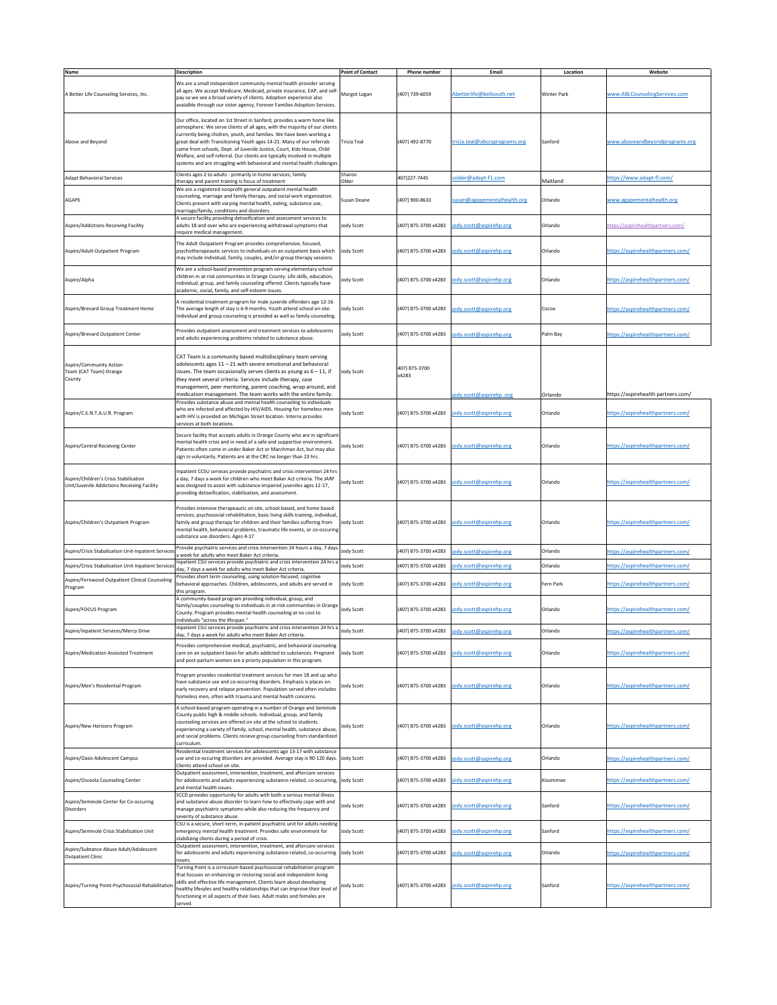|                                                                                       |                                                                                                                                                                                                                                                                                                                                                                                                                                                                                                                                            | <b>Point of Contact</b> |                        | Email                         |                    |                                     |
|---------------------------------------------------------------------------------------|--------------------------------------------------------------------------------------------------------------------------------------------------------------------------------------------------------------------------------------------------------------------------------------------------------------------------------------------------------------------------------------------------------------------------------------------------------------------------------------------------------------------------------------------|-------------------------|------------------------|-------------------------------|--------------------|-------------------------------------|
| Name                                                                                  | <b>Description</b>                                                                                                                                                                                                                                                                                                                                                                                                                                                                                                                         |                         | <b>Phone number</b>    |                               | Location           | Website                             |
| A Better Life Counseling Services, Inc.                                               | We are a small independent community mental health provider serving<br>all ages. We accept Medicare, Medicaid, private insurance, EAP, and self-<br>pay so we see a broad variety of clients. Adoption experience also<br>avaialble through our sister agency, Forever Families Adoption Services.                                                                                                                                                                                                                                         | Margot Logan            | (407) 739-6059         | Abetterlife@bellsouth.net     | <b>Winter Park</b> | www.ABLCounselingServices.com       |
| Above and Beyond                                                                      | Our office, located on 1st Street in Sanford, provides a warm home like<br>atmosphere. We serve clients of all ages, with the majority of our clients<br>currently being chidren, youth, and families. We have been working a<br>great deal with Transitioning Youth ages 14-21. Many of our referrals<br>come from schools, Dept. of Juvenile Justice, Court, Kids House, Child<br>Welfare, and self referral. Our clients are typically involved in multiple<br>systems and are struggling with behavioral and mental health challenges. | Tricia Teal             | (407) 492-8770         | tricia.teal@abccsprograms.org | Sanford            | www.aboveandbeyondprograms.org      |
| Adapt Behavioral Services                                                             | Clients ages 2 to adults - primarily in-home services; family<br>therapy and parent training is focus of treatment                                                                                                                                                                                                                                                                                                                                                                                                                         | Sharon<br>Older         | 407)227-7445           | solder@adapt-FL.com           | Maitland           | https://www.adapt-fl.com/           |
| AGAPE                                                                                 | We are a registered nonprofit general outpatient mental health<br>counseling, marriage and family therapy, and social work organization.<br>Clients present with varying mental health, eating, substance use,<br>marriage/family, conditions and disorders                                                                                                                                                                                                                                                                                | Susan Deane             | (407) 900-8633         | susan@agapementalhealth.org   | Orlando            | www.agapementalhealth.org           |
| Aspire/Addictions Receiving Facility                                                  | A secure facility providing detoxification and assessment services to<br>adults 18 and over who are experiencing withdrawal symptoms that<br>require medical management.                                                                                                                                                                                                                                                                                                                                                                   | Jody Scott              | (407) 875-3700 x4283   | jody.scott@aspirehp.org       | Orlando            | https://aspirehealthpartners.com/   |
| Aspire/Adult Outpatient Program                                                       | The Adult Outpatient Program provides comprehensive, focused,<br>psychotherapeautic services to individuals on an outpatient basis which<br>may include individual, family, couples, and/or group therapy sessions.                                                                                                                                                                                                                                                                                                                        | <b>Jody Scott</b>       | (407) 875-3700 x4283   | jody.scott@aspirehp.org       | Orlando            | https://aspirehealthpartners.com/   |
| Aspire/Alpha                                                                          | We are a school-based prevention program serving elementary school<br>children in at-risk communities in Orange County. Life skills, education,<br>individual, group, and family counseling offered. Clients typically have<br>academic, social, family, and self-esteem issues.                                                                                                                                                                                                                                                           | <b>Jody Scott</b>       | (407) 875-3700 x4283   | jody.scott@aspirehp.org       | Orlando            | https://aspirehealthpartners.com/   |
| Aspire/Brevard Group Treatment Home                                                   | A residential treatment program for male juvenile offenders age 12-16.<br>The average length of stay is 6-9 months. Youth attend school on site.<br>Individual and group counseling is provided as well as family counseling.                                                                                                                                                                                                                                                                                                              | Jody Scott              | (407) 875-3700 x4283   | jody.scott@aspirehp.org       | Cocoa              | https://aspirehealthpartners.com/   |
| Aspire/Brevard Outpatient Center                                                      | Provides outpatient assessment and treatment services to adolescents<br>and adults experiencing problems related to substance abuse.                                                                                                                                                                                                                                                                                                                                                                                                       | <b>Jody Scott</b>       | (407) 875-3700 x4283   | jody.scott@aspirehp.org       | Palm Bay           | https://aspirehealthpartners.com/   |
| Aspire/Community Action<br>Team (CAT Team) Orange<br>County                           | CAT Team is a community based multidisciplinary team serving<br>adolescents ages $11 - 21$ with severe emotional and behavioral<br>issues. The team occasionally serves clients as young as $6 - 11$ , if<br>they meet several criteria. Services include therapy, case<br>management, peer mentoring, parent coaching, wrap around, and<br>medication management. The team works with the entire family.                                                                                                                                  | <b>Jody Scott</b>       | 407) 875-3700<br>x4283 | jody.scott@aspirehp.org       | Orlando            | /1ttps://aspirehealth partners.com/ |
| Aspire/C.E.N.T.A.U.R. Program                                                         | Provides substance abuse and mental health counseling to individuals<br>who are infected and affected by HIV/AIDS. Housing for homeless men<br>with HIV is provided on Michigan Street location. Interns provides<br>services at both locations.                                                                                                                                                                                                                                                                                           | <b>Jody Scott</b>       | (407) 875-3700 x4283   | jody.scott@aspirehp.org       | Orlando            | https://aspirehealthpartners.com/   |
| Aspire/Central Recieving Center                                                       | Secure facility that accepts adults in Orange County who are in significant<br>mental health crisis and in need of a safe and supportive environment.<br>Patients often come in under Baker Act or Marchman Act, but may also<br>sign in voluntarily. Patients are at the CRC no longer than 23 hrs.                                                                                                                                                                                                                                       | <b>Jody Scott</b>       | (407) 875-3700 x4283   | jody.scott@aspirehp.org       | Orlando            | https://aspirehealthpartners.com/   |
| Aspire/Children's Crisis Stabilization<br>Unit/Juvenile Addictions Receiving Facility | Inpatient CCSU services provide psychiatric and crisis intervention 24 hrs<br>a day, 7 days a week for children who meet Baker Act criteria. The JARF<br>was designed to assist with substance-impaired juveniles ages 12-17,<br>providing detoxification, stabilization, and assessment.                                                                                                                                                                                                                                                  | <b>Jody Scott</b>       | (407) 875-3700 x4283   | jody.scott@aspirehp.org       | Orlando            | https://aspirehealthpartners.com/   |
| Aspire/Children's Outpatient Program                                                  | Provides intensive therapeautic on site, school-based, and home based<br>services, psychosocial rehabilitation, basic living skills training, individual,<br>family and group therapy for children and their families suffering from<br>mental health, behavioral problems, traumatic life events, or co-occuring<br>substance use disorders. Ages 4-17                                                                                                                                                                                    | Jody Scott              | (407) 875-3700 x4283   | jody.scott@aspirehp.org       | Orlando            | https://aspirehealthpartners.com/   |
| Aspire/Crisis Stabalization Unit-Inpatient Services                                   | Provide psychiatric services and crisis intervention 24 hours a day, 7 days                                                                                                                                                                                                                                                                                                                                                                                                                                                                | <b>Jody Scott</b>       |                        |                               | Orlando            | https://aspirehealthpartners.com/   |
|                                                                                       | a week for adults who meet Baker Act criteria.<br>Inpatient CSU services provide psychiatric and crisis intervention 24 hrs a                                                                                                                                                                                                                                                                                                                                                                                                              |                         |                        |                               |                    |                                     |
| Aspire/Crisis Stabalization Unit-Inpatient Services                                   | day, 7 days a week for adults who meet Baker Act criteria.                                                                                                                                                                                                                                                                                                                                                                                                                                                                                 | <b>Jody Scott</b>       | (407) 875-3700 x4283   | jody.scott@aspirehp.org       | Orlando            | https://aspirehealthpartners.com/   |
| Aspire/Fernwood Outpatient Clinical Counseling<br>Program                             | Provides short term counseling, using solution-focused, cognitive<br>behavioral approaches. Children, adolescents, and adults are served in<br>this program.                                                                                                                                                                                                                                                                                                                                                                               | <b>Jody Scott</b>       | (407) 875-3700 x4283   | jody.scott@aspirehp.org       | Fern Park          | https://aspirehealthpartners.com/   |
| Aspire/FOCUS Program                                                                  | A community-based program providing individual, group, and<br>family/couples counseling to individuals in at-risk communities in Orange<br>County. Program provides mental health counseling at no cost to<br>individuals "across the lifespan."                                                                                                                                                                                                                                                                                           | <b>Jody Scott</b>       | (407) 875-3700 x4283   | jody.scott@aspirehp.org       | Orlando            | https://aspirehealthpartners.com/   |
| Aspire/Inpatient Services/Mercy Drive                                                 | Inpatient CSU services provide psychiatric and crisis intervention 24 hrs a                                                                                                                                                                                                                                                                                                                                                                                                                                                                | <b>Jody Scott</b>       | (407) 875-3700 x4283   | jody.scott@aspirehp.org       | Orlando            | https://aspirehealthpartners.com/   |
| Aspire/Medication Assissted Treatment                                                 | day, 7 days a week for adults who meet Baker Act criteria.<br>Provides comprehensive medical, psychiatric, and behavioral counseling<br>care on an outpatient basis for adults addicted to substances. Pregnant<br>and post-partum women are a priorty population in this program.                                                                                                                                                                                                                                                         | <b>Jody Scott</b>       | (407) 875-3700 x4283   | jody.scott@aspirehp.org       | Orlando            | https://aspirehealthpartners.com/   |
| Aspire/Men's Residential Program                                                      | Program provides residential treatment services for men 18 and up who<br>have substance use and co-occurring disorders. Emphasis is places on<br>early recovery and relapse prevention. Population served often includes<br>homeless men, often with trauma and mental health concerns.                                                                                                                                                                                                                                                    | <b>Jody Scott</b>       | (407) 875-3700 x4283   | jody.scott@aspirehp.org       | Orlando            | https://aspirehealthpartners.com/   |
| Aspire/New Horizons Program                                                           | A school-based program operating in a number of Orange and Seminole<br>County public high & middle schools. Individual, group, and family<br>counseling services are offered on site at the school to students<br>experiencing a variety of family, school, mental health, substance abuse,<br>and social problems. Clients recieve group counseling from standardized<br>curriculum.                                                                                                                                                      | <b>Jody Scott</b>       | (407) 875-3700 x4283   | jody.scott@aspirehp.org       | Orlando            | https://aspirehealthpartners.com/   |
| Aspire/Oasis Adolescent Campus                                                        | Residential treatment services for adolescents age 13-17 with substance<br>use and co-occuring disorders are provided. Average stay is 90-120 days. Jody Scott<br>Clients attend school on site.                                                                                                                                                                                                                                                                                                                                           |                         | (407) 875-3700 x4283   | jody.scott@aspirehp.org       | Orlando            | https://aspirehealthpartners.com/   |
| Aspire/Osceola Counseling Center                                                      | Outpatient assessment, intervention, treatment, and aftercare services<br>for adolescents and adults experiencing substance-related, co-occurring, Jody Scott<br>and mental health issues.                                                                                                                                                                                                                                                                                                                                                 |                         | (407) 875-3700 x4283   | jody.scott@aspirehp.org       | Kissimmee          | https://aspirehealthpartners.com/   |
| Aspire/Seminole Center for Co-occuring<br>Disorders                                   | SCCD provides opportunity for adults with both a serious mental illness<br>and substance abuse disorder to learn how to effectively cope with and<br>manage psychiatric symptoms while also reducing the frequency and<br>severity of substance abuse.                                                                                                                                                                                                                                                                                     | <b>Jody Scott</b>       | (407) 875-3700 x4283   | jody.scott@aspirehp.org       | Sanford            | https://aspirehealthpartners.com/   |
| Aspire/Seminole Crisis Stabilization Unit                                             | CSU is a secure, short-term, in-patient psychiatric unit for adults needing<br>emergency mental health treatment. Provides safe environment for<br>stabilizing clients during a period of crisis.                                                                                                                                                                                                                                                                                                                                          | <b>Jody Scott</b>       | (407) 875-3700 x4283   | jody.scott@aspirehp.org       | Sanford            | https://aspirehealthpartners.com/   |
| Aspire/Subtance Abuse Adult/Adolescent<br>Outpatient Clinic                           | Outpatient assessment, intervention, treatment, and aftercare services<br>for adolescents and adults experiencing substance-related, co-occurring Jody Scott<br>issues.                                                                                                                                                                                                                                                                                                                                                                    |                         | (407) 875-3700 x4283   | jody.scott@aspirehp.org       | Orlando            | https://aspirehealthpartners.com/   |
| Aspire/Turning Point-Psychosocial Rehabilitation                                      | Turning Point is a cirriculum-based psychosocial rehabilitation program<br>that focuses on enhancing or restoring social and independent living<br>skills and effective life management. Clients learn about developing<br>healthy lifesyles and healthy relationships that can improve their level of<br>functioning in all aspects of their lives. Adult males and females are<br>served.                                                                                                                                                | Jody Scott              | (407) 875-3700 x4283   | jody.scott@aspirehp.org       | Sanford            | https://aspirehealthpartners.com/   |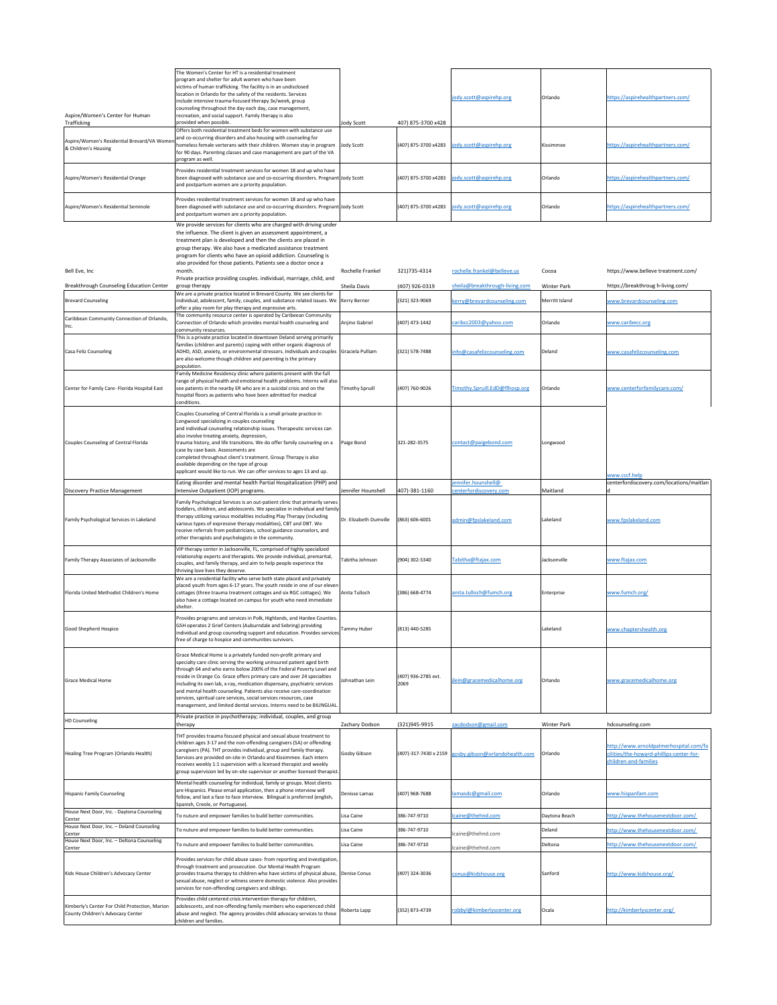| Aspire/Women's Center for Human<br>Trafficking                                      | The Women's Center for HT is a residential treatment<br>program and shelter for adult women who have been<br>victims of human trafficking. The facility is in an undisclosed<br>location in Orlando for the safety of the residents. Services<br>include intensive trauma-focused therapy 3x/week, group<br>counseling throughout the day each day, case management,<br>recreation, and social support. Family therapy is also<br>provided when possible.                                                                                                                                         | <b>Jody Scott</b>      | 407) 875-3700 x428          | jody.scott@aspirehp.org                              | Orlando            | https://aspirehealthpartners.com/                                                                           |
|-------------------------------------------------------------------------------------|---------------------------------------------------------------------------------------------------------------------------------------------------------------------------------------------------------------------------------------------------------------------------------------------------------------------------------------------------------------------------------------------------------------------------------------------------------------------------------------------------------------------------------------------------------------------------------------------------|------------------------|-----------------------------|------------------------------------------------------|--------------------|-------------------------------------------------------------------------------------------------------------|
| Aspire/Women's Residential Brevard/VA Womer<br>& Children's Housing                 | Offers both residential treatment beds for women with substance use<br>and co-occurring disorders and also housing with counseling for<br>homeless female verterans with their children. Women stay in program<br>for 90 days. Parenting classes and case management are part of the VA<br>program as well.                                                                                                                                                                                                                                                                                       | <b>Jody Scott</b>      | (407) 875-3700 x4283        | jody.scott@aspirehp.org                              | Kissimmee          | https://aspirehealthpartners.com/                                                                           |
| Aspire/Women's Residential Orange                                                   | Provides residential treatment services for women 18 and up who have<br>been diagnosed with substance use and co-occurring disorders. Pregnant Jody Scott<br>and postpartum women are a priority population.                                                                                                                                                                                                                                                                                                                                                                                      |                        | (407) 875-3700 x4283        | jody.scott@aspirehp.org                              | Orlando            | https://aspirehealthpartners.com/                                                                           |
| Aspire/Women's Residential Seminole                                                 | Provides residential treatment services for women 18 and up who have<br>been diagnosed with substance use and co-occurring disorders. Pregnant Jody Scott<br>and postpartum women are a priority population.                                                                                                                                                                                                                                                                                                                                                                                      |                        | (407) 875-3700 x4283        | jody.scott@aspirehp.org                              | Orlando            | https://aspirehealthpartners.com/                                                                           |
|                                                                                     | We provide services for clients who are charged with driving under<br>the influence. The client is given an assessment appointment, a<br>treatment plan is developed and then the clients are placed in<br>group therapy. We also have a medicated assistance treatment<br>program for clients who have an opioid addiction. Counseling is<br>also provided for those patients. Patients see a doctor once a                                                                                                                                                                                      |                        |                             |                                                      |                    |                                                                                                             |
| Bell Eve, Inc                                                                       | month.<br>Private practice providing couples. individual, marriage, child, and                                                                                                                                                                                                                                                                                                                                                                                                                                                                                                                    | Rochelle Frankel       | 321)735-4314                | rochelle.frankel@belleve.us                          | Cocoa              | https://www.belleve treatment.com/                                                                          |
| Breakthrough Counseling Education Center                                            | group therapy                                                                                                                                                                                                                                                                                                                                                                                                                                                                                                                                                                                     | Sheila Davis           | (407) 926-0319              | sheila@breakthrough-living.com                       | <b>Winter Park</b> | https://breakthroug h-living.com/                                                                           |
| <b>Brevard Counseling</b>                                                           | We are a private practice located in Brevard County. We see clients for<br>individual, adolescent, family, couples, and substance related issues. We Kerry Berner                                                                                                                                                                                                                                                                                                                                                                                                                                 |                        | (321) 323-9069              | kerry@brevardcounseling.com                          | Merritt Island     | www.brevardcounseling.com                                                                                   |
| Caribbean Community Connection of Orlando,<br>Inc.                                  | offer a play room for play therapy and expressive arts.<br>The community resource center is operated by Caribeean Community<br>Connection of Orlando which provides mental health counseling and                                                                                                                                                                                                                                                                                                                                                                                                  | Anjino Gabriel         | (407) 473-1442              | caribcc2003@yahoo.com                                | Orlando            | www.caribecc.org                                                                                            |
| Casa Feliz Counseling                                                               | community resources.<br>This is a private practice located in downtown Deland serving primarily<br>families (children and parents) coping with either organic diagnosis of<br>ADHD, ASD, anxiety, or environmental stressors. Individuals and couples Graciela Pulliam<br>are also welcome though children and parenting is the primary<br>population.                                                                                                                                                                                                                                            |                        | (321) 578-7488              | info@casafelizcounseling.com                         | Deland             | www.casafelizcounseling.com                                                                                 |
| Center for Family Care- Florida Hospital East                                       | Family Medicine Residency clinic where patients present with the full<br>range of physical health and emotional health problems. Interns will also<br>see patients in the nearby ER who are in a suicidal crisis and on the<br>hospital floors as patients who have been admitted for medical<br>conditions.                                                                                                                                                                                                                                                                                      | <b>Timothy Spruill</b> | (407) 760-9026              | Timothy.Spruill.EdD@flhosp.org                       | Orlando            | www.centerforfamilycare.com/                                                                                |
| Couples Counseling of Central Florida                                               | Couples Counseling of Central Florida is a small private practice in<br>Longwood specializing in couples counseling<br>and individual counseling relationship issues. Therapeutic services can<br>also involve treating anxiety, depression,<br>trauma history, and life transitions. We do offer family counseling on a<br>case by case basis. Assessments are<br>completed throughout client's treatment. Group Therapy is also<br>available depending on the type of group<br>applicant would like to run. We can offer services to ages 13 and up.                                            | Paige Bond             | 321-282-3575                | contact@paigebond.com                                | Longwood           |                                                                                                             |
|                                                                                     | Eating disorder and mental health Partial Hospitalization (PHP) and                                                                                                                                                                                                                                                                                                                                                                                                                                                                                                                               |                        |                             | jennifer.hounshell@                                  |                    | www.cccf.help<br>centerfordiscovery.com/locations/maitlan                                                   |
| Discovery Practice Management                                                       | Intensive Outpatient (IOP) programs.                                                                                                                                                                                                                                                                                                                                                                                                                                                                                                                                                              | Jennifer Hounshell     | 407)-381-1160               | centerfordiscovery.com                               | Maitland           |                                                                                                             |
| Family Psychological Services in Lakeland                                           | Family Psychological Services is an out-patient clinic that primarily serves<br>toddlers, children, and adolescents. We specialize in individual and family<br>therapy utilizing various modalities including Play Therapy (including<br>various types of expressive therapy modalities), CBT and DBT. We<br>receive referrals from pediatricians, school guidance counselors, and<br>other therapists and psychologists in the community.                                                                                                                                                        | Dr. Elizabeth Dumville | (863) 606-6001              | admin@fpslakeland.com                                | Lakeland           | www.fpslakeland.com                                                                                         |
| Family Therapy Associates of Jacksonville                                           | VIP therapy center in Jacksonville, FL, comprised of highly specialized<br>relationship experts and therapists. We provide individual, premarital,<br>couples, and family therapy, and aim to help people experince the<br>thriving love lives they deserve.<br>We are a residential facility who serve both state placed and privately                                                                                                                                                                                                                                                           | Tabitha Johnson        | (904) 302-5340              | Tabitha@ftajax.com                                   | Jacksonville       | www.ftajax.com                                                                                              |
| Florida United Methodist Children's Home                                            | placed youth from ages 6-17 years. The youth reside in one of our eleven<br>cottages (three trauma treatment cottages and six RGC cottages). We<br>also have a cottage located on campus for youth who need immediate<br>shelter.                                                                                                                                                                                                                                                                                                                                                                 | Anita Tulloch          | (386) 668-4774              | anita.tulloch@fumch.org                              | Enterprise         | www.fumch.org/                                                                                              |
| Good Shepherd Hospice                                                               | Provides programs and services in Polk, Highlands, and Hardee Counties.<br>GSH operates 2 Grief Centers (Auburndale and Sebring) providing<br>individual and group counseling support and education. Provides services<br>free of charge to hospice and communities survivors.                                                                                                                                                                                                                                                                                                                    | <b>Tammy Huber</b>     | (813) 440-5285              |                                                      | Lakeland           | www.chaptershealth.org                                                                                      |
| Grace Medical Home                                                                  | Grace Medical Home is a privately funded non-profit primary and<br>specialty care clinic serving the working uninsured patient aged birth<br>through 64 and who earns below 200% of the Federal Poverty Level and<br>reside in Orange Co. Grace offers primary care and over 24 specialties<br>including its own lab, x-ray, medication dispensary, psychiatric services<br>and mental health counseling. Patients also receive care-coordination<br>services, spiritual care services, social services resources, case<br>management, and limited dental services. Interns need to be BILINGUAL. | Johnathan Lein         | (407) 936-2785 ext.<br>2069 | jlein@gracemedicalhome.org                           | Orlando            | www.gracemedicalhome.org                                                                                    |
| <b>HD Counseling</b>                                                                | Private practice in psychotherapy; individual, couples, and group<br>therapy                                                                                                                                                                                                                                                                                                                                                                                                                                                                                                                      | Zachary Dodson         | (321)945-9915               | zacdodson@gmail.com                                  | <b>Winter Park</b> | hdcounseling.com                                                                                            |
| Healing Tree Program (Orlando Health)                                               | THT provides trauma focused physical and sexual abuse treatment to<br>children ages 3-17 and the non-offending caregivers (SA) or offending<br>caregivers (PA). THT provides individual, group and family therapy.<br>Services are provided on-site in Orlando and Kissimmee. Each intern<br>receives weekly 1:1 supervision with a licensed therapist and weekly<br>group supervision led by on-site supervisor or another licensed therapist.                                                                                                                                                   | Gosby Gibson           |                             | (407)-317-7430 x 2159 gosby.gibson@orlandohealth.com | Orlando            | http://www.arnoldpalmerhospital.com/fa<br>cilities/the-howard-phillips-center-for-<br>children-and-families |
| <b>Hispanic Family Counseling</b>                                                   | Mental health counseling for individual, family or groups. Most clients<br>are Hispanics. Please email application, then a phone interview will<br>follow, and last a face to face interview. Bilingual is preferred (english,<br>Spanish, Creole, or Portuguese).                                                                                                                                                                                                                                                                                                                                | Denisse Lamas          | (407) 968-7688              | lamasdc@gmail.com                                    | Orlando            | www.hispanfam.com                                                                                           |
| House Next Door, Inc. - Daytona Counseling<br>Center                                | To nuture and empower families to build better communities.                                                                                                                                                                                                                                                                                                                                                                                                                                                                                                                                       | Lisa Caine             | 386-747-9710                | lcaine@thehnd.com                                    | Daytona Beach      | http://www.thehousenextdoor.com/                                                                            |
| House Next Door, Inc. - Deland Counseling<br>Center                                 | To nuture and empower families to build better communities.                                                                                                                                                                                                                                                                                                                                                                                                                                                                                                                                       | Lisa Caine             | 386-747-9710                | lcaine@thehnd.com                                    | Deland             | http://www.thehousenextdoor.com/                                                                            |
| House Next Door, Inc. - Deltona Counseling<br>Center                                | To nuture and empower families to build better communities.                                                                                                                                                                                                                                                                                                                                                                                                                                                                                                                                       | Lisa Caine             | 386-747-9710                | lcaine@thehnd.com                                    | Deltona            | http://www.thehousenextdoor.com/                                                                            |
| Kids House Children's Advocacy Center                                               | Provides services for child abuse cases-from reporting and investigation,<br>through treatment and prosecution. Our Mental Health Program<br>provides trauma therapy to children who have victims of physical abuse, Denise Conus<br>sexual abuse, neglect or witness severe domestic violence. Also provides<br>services for non-offending caregivers and siblings.                                                                                                                                                                                                                              |                        | (407) 324-3036              | conus@kidshouse.org                                  | Sanford            | http://www.kidshouse.org/                                                                                   |
| Kimberly's Center For Child Protection, Marion<br>County Children's Advocacy Center | Provides child centered crisis intervention therapy for children,<br>adolescents, and non-offending family members who experienced child<br>abuse and neglect. The agency provides child advocacy services to those<br>children and families.                                                                                                                                                                                                                                                                                                                                                     | Roberta Lapp           | (352) 873-4739              | robbyl@kimberlyscenter.org                           | Ocala              | http://kimberlyscenter.org/                                                                                 |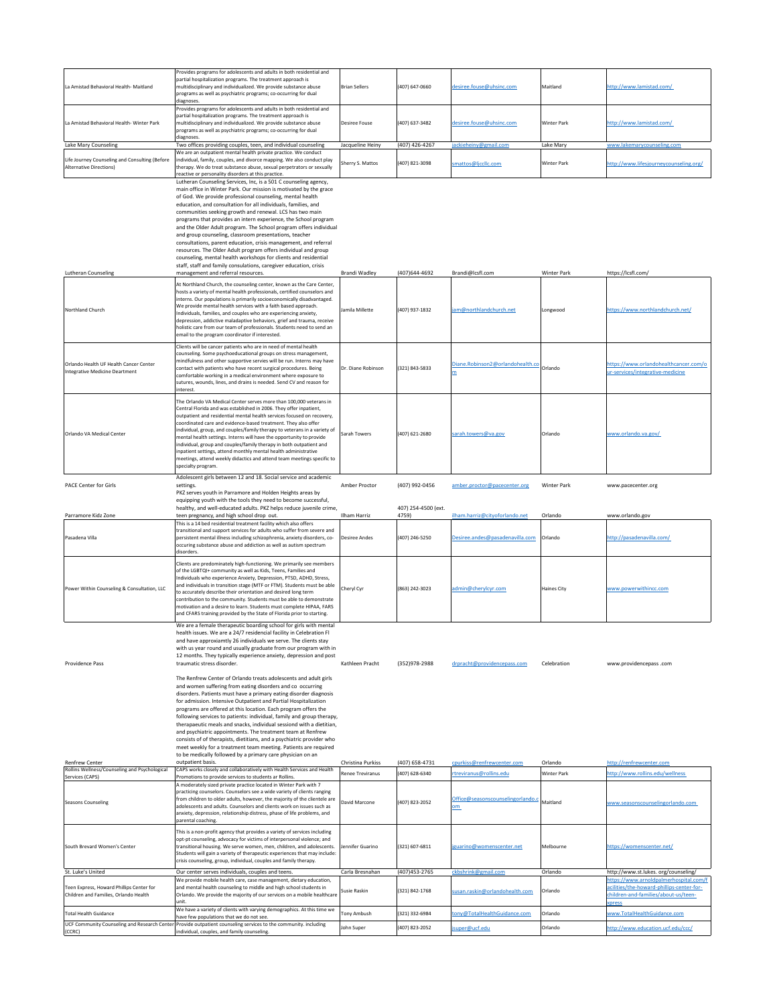| La Amistad Behavioral Health-Maitland                                             | Provides programs for adolescents and adults in both residential and<br>partial hospitalization programs. The treatment approach is<br>multidisciplinary and individualized. We provide substance abuse<br>programs as well as psychiatric programs; co-occurring for dual<br>diagnoses.                                                                                                                                                                                                                                                                                                                                                                                                                                                                                                                                                                                                                                                                                                                                                                                                                                                                 | <b>Brian Sellers</b>                 | (407) 647-0660          | desiree.fouse@uhsinc.com                       | Maitland           | http://www.lamistad.com/                                                                    |
|-----------------------------------------------------------------------------------|----------------------------------------------------------------------------------------------------------------------------------------------------------------------------------------------------------------------------------------------------------------------------------------------------------------------------------------------------------------------------------------------------------------------------------------------------------------------------------------------------------------------------------------------------------------------------------------------------------------------------------------------------------------------------------------------------------------------------------------------------------------------------------------------------------------------------------------------------------------------------------------------------------------------------------------------------------------------------------------------------------------------------------------------------------------------------------------------------------------------------------------------------------|--------------------------------------|-------------------------|------------------------------------------------|--------------------|---------------------------------------------------------------------------------------------|
| La Amistad Behavioral Health-Winter Park                                          | Provides programs for adolescents and adults in both residential and<br>partial hospitalization programs. The treatment approach is<br>multidisciplinary and individualized. We provide substance abuse<br>programs as well as psychiatric programs; co-occurring for dual                                                                                                                                                                                                                                                                                                                                                                                                                                                                                                                                                                                                                                                                                                                                                                                                                                                                               | <b>Desiree Fouse</b>                 | (407) 637-3482          | desiree.fouse@uhsinc.com                       | <b>Winter Park</b> | http://www.lamistad.com/                                                                    |
| Lake Mary Counseling                                                              | diagnoses.<br>Two offices providing couples, teen, and individual counseling                                                                                                                                                                                                                                                                                                                                                                                                                                                                                                                                                                                                                                                                                                                                                                                                                                                                                                                                                                                                                                                                             | Jacqueline Heiny                     | (407) 426-4267          | jackieheiny@gmail.com                          | Lake Mary          | www.lakemarycounseling.com                                                                  |
| Life Journey Counseling and Consulting (Before<br>Alternative Directions)         | We are an outpatient mental health private practice. We conduct<br>individual, family, couples, and divorce mapping. We also conduct play<br>therapy. We do treat substance abuse, sexual perpetrators or sexually<br>reactive or personality disorders at this practice.                                                                                                                                                                                                                                                                                                                                                                                                                                                                                                                                                                                                                                                                                                                                                                                                                                                                                | Sherry S. Mattos                     | (407) 821-3098          | smattos@ljccllc.com                            | <b>Winter Park</b> | http://www.lifesjourneycounseling.org/                                                      |
|                                                                                   | Lutheran Counseling Services, Inc, is a 501 C counseling agency,<br>main office in Winter Park. Our mission is motivated by the grace<br>of God. We provide professional counseling, mental health<br>education, and consultation for all individuals, families, and<br>communities seeking growth and renewal. LCS has two main<br>programs that provides an intern experience, the School program<br>and the Older Adult program. The School program offers individual<br>and group counseling, classroom presentations, teacher<br>consultations, parent education, crisis management, and referral<br>resources. The Older Adult program offers individual and group<br>counseling, mental health workshops for clients and residential<br>staff, staff and family consulations, caregiver education, crisis                                                                                                                                                                                                                                                                                                                                         |                                      |                         |                                                |                    |                                                                                             |
| <b>Lutheran Counseling</b>                                                        | management and referral resources.                                                                                                                                                                                                                                                                                                                                                                                                                                                                                                                                                                                                                                                                                                                                                                                                                                                                                                                                                                                                                                                                                                                       | Brandi Wadley                        | (407) 644-4692          | Brandi@lcsfl.com                               | <b>Winter Park</b> | https://lcsfl.com/                                                                          |
| Northland Church                                                                  | At Northland Church, the counseling center, known as the Care Center,<br>hosts a variety of mental health professionals, certified counselors and<br>interns. Our populations is primarily socioeconomically disadvantaged.<br>We provide mental health services with a faith based approach.<br>Individuals, families, and couples who are experiencing anxiety,<br>depression, addictive maladaptive behaviors, grief and trauma, receive<br>holistic care from our team of professionals. Students need to send an<br>email to the program coordinator if interested.                                                                                                                                                                                                                                                                                                                                                                                                                                                                                                                                                                                 | Jamila Millette                      | (407) 937-1832          | iam@northlandchurch.net                        | Longwood           | https://www.northlandchurch.net/                                                            |
| <b>Orlando Health UF Health Cancer Center</b><br>Integrative Medicine Deartment   | Clients will be cancer patients who are in need of mental health<br>counseling. Some psychoeducational groups on stress management,<br>mindfulness and other supportive servies will be run. Interns may have<br>contact with patients who have recent surgical procedures. Being<br>comfortable working in a medical environment where exposure to<br>sutures, wounds, lines, and drains is needed. Send CV and reason for<br>interest.                                                                                                                                                                                                                                                                                                                                                                                                                                                                                                                                                                                                                                                                                                                 | Dr. Diane Robinson                   | (321) 843-5833          | Diane.Robinson2@orlandohealth.co               | Orlando            | https://www.orlandohealthcancer.com/o<br>ur-services/integrative-medicine                   |
| Orlando VA Medical Center                                                         | The Orlando VA Medical Center serves more than 100,000 veterans in<br>Central Florida and was established in 2006. They offer inpatient,<br>outpatient and residential mental health services focused on recovery,<br>coordinated care and evidence-based treatment. They also offer<br>individual, group, and couples/family therapy to veterans in a variety of<br>mental health settings. Interns will have the opportunity to provide<br>individual, group and couples/family therapy in both outpatient and<br>inpatient settings, attend monthly mental health administrative<br>meetings, attend weekly didactics and attend team meetings specific to<br>specialty program.                                                                                                                                                                                                                                                                                                                                                                                                                                                                      | <b>Sarah Towers</b>                  | (407) 621-2680          | sarah.towers@va.gov                            | Orlando            | www.orlando.va.gov/                                                                         |
| <b>PACE Center for Girls</b>                                                      | Adolescent girls between 12 and 18. Social service and academic<br>settings.<br>PKZ serves youth in Parramore and Holden Heights areas by<br>equipping youth with the tools they need to become successful,                                                                                                                                                                                                                                                                                                                                                                                                                                                                                                                                                                                                                                                                                                                                                                                                                                                                                                                                              | Amber Proctor                        | (407) 992-0456          | amber.proctor@pacecenter.org                   | Winter Park        | www.pacecenter.org                                                                          |
|                                                                                   | healthy, and well-educated adults. PKZ helps reduce juvenile crime,                                                                                                                                                                                                                                                                                                                                                                                                                                                                                                                                                                                                                                                                                                                                                                                                                                                                                                                                                                                                                                                                                      |                                      | 407) 254-4500 (ext.     | ilham.harriz@cityoforlando.net                 |                    |                                                                                             |
| Parramore Kidz Zone<br>Pasadena Villa                                             | teen pregnancy, and high school drop out.<br>This is a 14 bed residential treatment facility which also offers<br>transitional and support services for adults who suffer from severe and<br>persistent mental illness including schizophrenia, anxiety disorders, co-<br>occuring substance abuse and addiction as well as autism spectrum<br>disorders.                                                                                                                                                                                                                                                                                                                                                                                                                                                                                                                                                                                                                                                                                                                                                                                                | Ilham Harriz<br><b>Desiree Andes</b> | 4759)<br>(407) 246-5250 | Desiree.andes@pasadenavilla.com                | Orlando<br>Orlando | www.orlando.gov<br>http://pasadenavilla.com/                                                |
| Power Within Counseling & Consultation, LLC                                       | Clients are predominately high-functioning. We primarily see members<br>of the LGBTQI+ community as well as Kids, Teens, Families and<br>Individuals who experience Anxiety, Depression, PTSD, ADHD, Stress,<br>and individuals in transition stage (MTF or FTM). Students must be able<br>to accurately describe their orientation and desired long term<br>contribution to the community. Students must be able to demonstrate<br>motivation and a desire to learn. Students must complete HIPAA, FARS<br>and CFARS training provided by the State of Florida prior to starting.                                                                                                                                                                                                                                                                                                                                                                                                                                                                                                                                                                       | Cheryl Cyr                           | (863) 242-3023          | admin@cherylcyr.com                            | <b>Haines City</b> | www.powerwithincc.com                                                                       |
| <b>Providence Pass</b>                                                            | We are a female therapeutic boarding school for girls with mental<br>health issues. We are a 24/7 residencial facility in Celebration Fl<br>and have approxiamtly 26 individuals we serve. The clients stay<br>with us year round and usually graduate from our program with in<br>12 months. They typically experience anxiety, depression and post<br>traumatic stress disorder.<br>The Renfrew Center of Orlando treats adolescents and adult girls<br>and women suffering from eating disorders and co occurring<br>disorders. Patients must have a primary eating disorder diagnosis<br>for admission. Intensive Outpatient and Partial Hospitalization<br>programs are offered at this location. Each program offers the<br>following services to patients: individual, family and group therapy,<br>therapaeutic meals and snacks, individual sessiond with a dietitian,<br>and psychiatric appointments. The treatment team at Renfrew<br>consists of of therapists, dietitians, and a psychiatric provider who<br>meet weekly for a treatment team meeting. Patients are required<br>to be medically followed by a primary care physician on an | Kathleen Pracht                      | (352)978-2988           | drpracht@providencepass.com                    | Celebration        | www.providencepass.com                                                                      |
| <b>Renfrew Center</b><br>Rollins Wellness/Counseling and Psychological            | outpatient basis.<br>CAPS works closely and collaboratively with Health Services and Health                                                                                                                                                                                                                                                                                                                                                                                                                                                                                                                                                                                                                                                                                                                                                                                                                                                                                                                                                                                                                                                              | Christina Purkiss                    | $(407)$ 658-4731        | cpurkiss@renfrewcenter.com                     | Orlando            | http://renfrewcenter.com                                                                    |
| Services (CAPS)                                                                   | Promotions to provide services to students ar Rollins.                                                                                                                                                                                                                                                                                                                                                                                                                                                                                                                                                                                                                                                                                                                                                                                                                                                                                                                                                                                                                                                                                                   | <b>Renee Treviranus</b>              | (407) 628-6340          | rtreviranus@rollins.edu                        | <b>Winter Park</b> | http://www.rollins.edu/wellness                                                             |
| <b>Seasons Counseling</b>                                                         | A moderately sized private practice located in Winter Park with 7<br>practicing counselors. Counselors see a wide variety of clients ranging<br>from children to older adults, however, the majority of the clientele are<br>adolescents and adults. Counselors and clients work on issues such as<br>anxiety, depression, relationship distress, phase of life problems, and<br>parental coaching.                                                                                                                                                                                                                                                                                                                                                                                                                                                                                                                                                                                                                                                                                                                                                      | David Marcone                        | (407) 823-2052          | Office@seasonscounselingorlando.c<br><u>om</u> | Maitland           | www.seasonscounselingorlando.com                                                            |
| South Brevard Women's Center                                                      | This is a non-profit agency that provides a variety of services including<br>opt-pt counseling, advocacy for victims of interpersonal violence; and<br>transitional housing. We serve women, men, children, and adolescents.<br>Students will gain a variety of therapeutic experiences that may include:<br>crisis counseling, group, individual, couples and family therapy.                                                                                                                                                                                                                                                                                                                                                                                                                                                                                                                                                                                                                                                                                                                                                                           | Jennifer Guarino                     | (321) 607-6811          | jguarino@womenscenter.net                      | Melbourne          | https://womenscenter.net/                                                                   |
| St. Luke's United                                                                 | Our center serves individuals, couples and teens.                                                                                                                                                                                                                                                                                                                                                                                                                                                                                                                                                                                                                                                                                                                                                                                                                                                                                                                                                                                                                                                                                                        | Carla Bresnahan                      | (407) 453-2765          | ckbshrink@gmail.com                            | Orlando            | http://www.st.lukes.org/counseling/<br>https://www.arnoldpalmerhospital.com/f               |
| Teen Express, Howard Phillips Center for<br>Children and Families, Orlando Health | We provide mobile health care, case management, dietary education,<br>and mental health counseling to middle and high school students in<br>Orlando. We provide the majority of our services on a mobile healthcare<br>unit.                                                                                                                                                                                                                                                                                                                                                                                                                                                                                                                                                                                                                                                                                                                                                                                                                                                                                                                             | Susie Raskin                         | (321) 842-1768          | susan.raskin@orlandohealth.com                 | Orlando            | acilities/the-howard-phillips-center-for-<br>children-and-families/about-us/teen-<br>xpress |
| Total Health Guidance                                                             | We have a variety of clients with varying demographics. At this time we<br>have few populations that we do not see.                                                                                                                                                                                                                                                                                                                                                                                                                                                                                                                                                                                                                                                                                                                                                                                                                                                                                                                                                                                                                                      | Tony Ambush                          | (321) 332-6984          | tony@TotalHealthGuidance.com                   | Orlando            | www.TotalHealthGuidance.com                                                                 |
| (CCRC)                                                                            | UCF Community Counseling and Research Center Provide outpatient counseling services to the community. including<br>individual, couples, and family counseling.                                                                                                                                                                                                                                                                                                                                                                                                                                                                                                                                                                                                                                                                                                                                                                                                                                                                                                                                                                                           | John Super                           | (407) 823-2052          | jsuper@ucf.edu                                 | Orlando            | http://www.education.ucf.edu/ccc/                                                           |